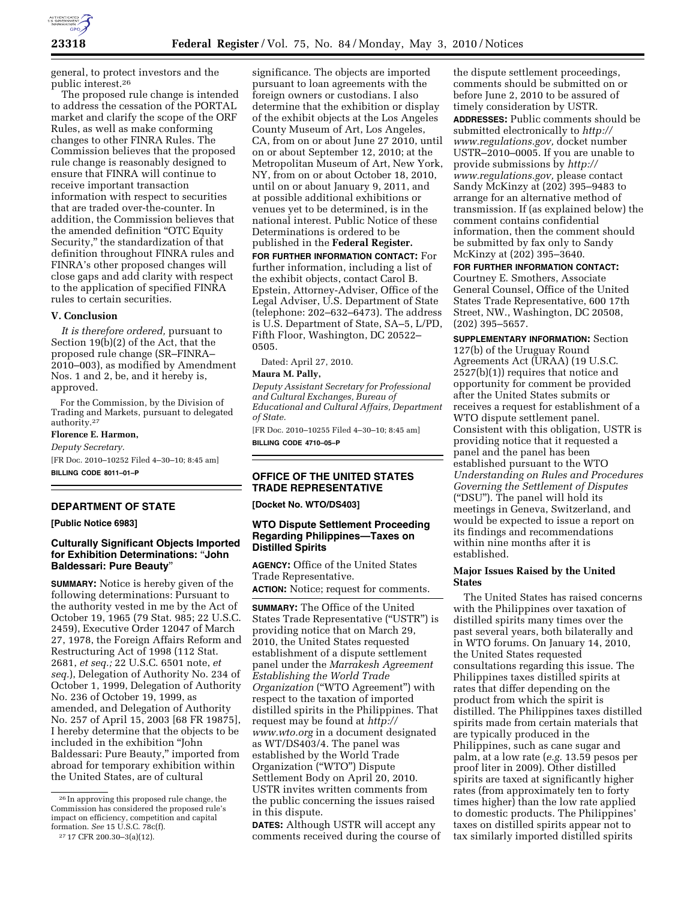

general, to protect investors and the public interest.26

The proposed rule change is intended to address the cessation of the PORTAL market and clarify the scope of the ORF Rules, as well as make conforming changes to other FINRA Rules. The Commission believes that the proposed rule change is reasonably designed to ensure that FINRA will continue to receive important transaction information with respect to securities that are traded over-the-counter. In addition, the Commission believes that the amended definition ''OTC Equity Security,'' the standardization of that definition throughout FINRA rules and FINRA's other proposed changes will close gaps and add clarity with respect to the application of specified FINRA rules to certain securities.

#### **V. Conclusion**

*It is therefore ordered,* pursuant to Section 19(b)(2) of the Act, that the proposed rule change (SR–FINRA– 2010–003), as modified by Amendment Nos. 1 and 2, be, and it hereby is, approved.

For the Commission, by the Division of Trading and Markets, pursuant to delegated authority.27

**Florence E. Harmon,**  *Deputy Secretary.*  [FR Doc. 2010–10252 Filed 4–30–10; 8:45 am] **BILLING CODE 8011–01–P** 

# **DEPARTMENT OF STATE**

**[Public Notice 6983]** 

## **Culturally Significant Objects Imported for Exhibition Determinations:** ''**John Baldessari: Pure Beauty**''

**SUMMARY:** Notice is hereby given of the following determinations: Pursuant to the authority vested in me by the Act of October 19, 1965 (79 Stat. 985; 22 U.S.C. 2459), Executive Order 12047 of March 27, 1978, the Foreign Affairs Reform and Restructuring Act of 1998 (112 Stat. 2681, *et seq.;* 22 U.S.C. 6501 note, *et seq.*), Delegation of Authority No. 234 of October 1, 1999, Delegation of Authority No. 236 of October 19, 1999, as amended, and Delegation of Authority No. 257 of April 15, 2003 [68 FR 19875], I hereby determine that the objects to be included in the exhibition ''John Baldessari: Pure Beauty,'' imported from abroad for temporary exhibition within the United States, are of cultural

significance. The objects are imported pursuant to loan agreements with the foreign owners or custodians. I also determine that the exhibition or display of the exhibit objects at the Los Angeles County Museum of Art, Los Angeles, CA, from on or about June 27 2010, until on or about September 12, 2010; at the Metropolitan Museum of Art, New York, NY, from on or about October 18, 2010, until on or about January 9, 2011, and at possible additional exhibitions or venues yet to be determined, is in the national interest. Public Notice of these Determinations is ordered to be published in the **Federal Register.** 

**FOR FURTHER INFORMATION CONTACT:** For further information, including a list of the exhibit objects, contact Carol B. Epstein, Attorney-Adviser, Office of the Legal Adviser, U.S. Department of State (telephone: 202–632–6473). The address is U.S. Department of State, SA–5, L/PD, Fifth Floor, Washington, DC 20522– 0505.

Dated: April 27, 2010.

#### **Maura M. Pally,**

*Deputy Assistant Secretary for Professional and Cultural Exchanges, Bureau of Educational and Cultural Affairs, Department of State.* 

[FR Doc. 2010–10255 Filed 4–30–10; 8:45 am] **BILLING CODE 4710–05–P** 

## **OFFICE OF THE UNITED STATES TRADE REPRESENTATIVE**

**[Docket No. WTO/DS403]** 

## **WTO Dispute Settlement Proceeding Regarding Philippines—Taxes on Distilled Spirits**

**AGENCY:** Office of the United States Trade Representative.

**ACTION:** Notice; request for comments.

**SUMMARY:** The Office of the United States Trade Representative (''USTR'') is providing notice that on March 29, 2010, the United States requested establishment of a dispute settlement panel under the *Marrakesh Agreement Establishing the World Trade Organization* (''WTO Agreement'') with respect to the taxation of imported distilled spirits in the Philippines. That request may be found at *http:// www.wto.org* in a document designated as WT/DS403/4. The panel was established by the World Trade Organization (''WTO'') Dispute Settlement Body on April 20, 2010. USTR invites written comments from the public concerning the issues raised in this dispute.

**DATES:** Although USTR will accept any comments received during the course of

the dispute settlement proceedings, comments should be submitted on or before June 2, 2010 to be assured of timely consideration by USTR. **ADDRESSES:** Public comments should be submitted electronically to *http:// www.regulations.gov,* docket number USTR–2010–0005. If you are unable to provide submissions by *http:// www.regulations.gov,* please contact Sandy McKinzy at (202) 395–9483 to arrange for an alternative method of transmission. If (as explained below) the comment contains confidential information, then the comment should be submitted by fax only to Sandy McKinzy at (202) 395–3640.

#### **FOR FURTHER INFORMATION CONTACT:**

Courtney E. Smothers, Associate General Counsel, Office of the United States Trade Representative, 600 17th Street, NW., Washington, DC 20508, (202) 395–5657.

**SUPPLEMENTARY INFORMATION:** Section 127(b) of the Uruguay Round Agreements Act (URAA) (19 U.S.C. 2527(b)(1)) requires that notice and opportunity for comment be provided after the United States submits or receives a request for establishment of a WTO dispute settlement panel. Consistent with this obligation, USTR is providing notice that it requested a panel and the panel has been established pursuant to the WTO *Understanding on Rules and Procedures Governing the Settlement of Disputes*  (''DSU''). The panel will hold its meetings in Geneva, Switzerland, and would be expected to issue a report on its findings and recommendations within nine months after it is established.

## **Major Issues Raised by the United States**

The United States has raised concerns with the Philippines over taxation of distilled spirits many times over the past several years, both bilaterally and in WTO forums. On January 14, 2010, the United States requested consultations regarding this issue. The Philippines taxes distilled spirits at rates that differ depending on the product from which the spirit is distilled. The Philippines taxes distilled spirits made from certain materials that are typically produced in the Philippines, such as cane sugar and palm, at a low rate (*e.g.* 13.59 pesos per proof liter in 2009). Other distilled spirits are taxed at significantly higher rates (from approximately ten to forty times higher) than the low rate applied to domestic products. The Philippines' taxes on distilled spirits appear not to tax similarly imported distilled spirits

<sup>26</sup> In approving this proposed rule change, the Commission has considered the proposed rule's impact on efficiency, competition and capital formation. *See* 15 U.S.C. 78c(f).

<sup>27</sup> 17 CFR 200.30–3(a)(12).